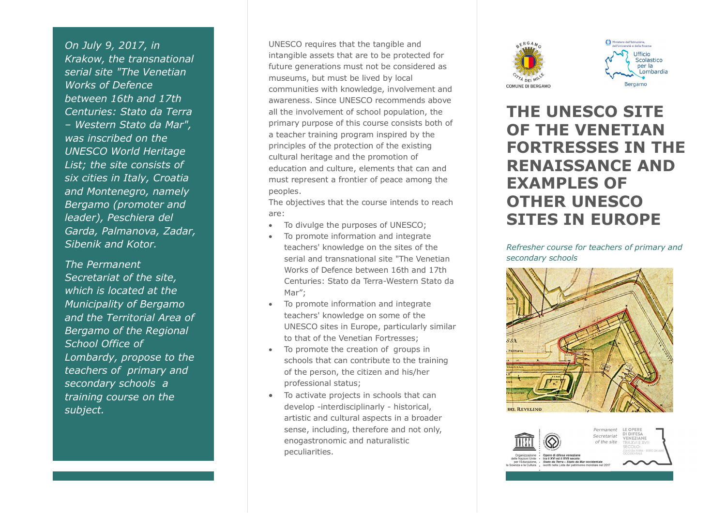*On July 9, 2017, in Krakow, the transnational serial site "The Venetian Works of Defence between 16th and 17th Centuries: Stato da Terra – Western Stato da Mar", was inscribed on the UNESCO World Heritage List; the site consists of six cities in Italy, Croatia and Montenegro, namely Bergamo (promoter and leader), Peschiera del Garda, Palmanova, Zadar, Sibenik and Kotor.* 

*The Permanent Secretariat of the site, which is located at the Municipality of Bergamo and the Territorial Area of Bergamo of the Regional School Office of Lombardy, propose to the teachers of primary and secondary schools a training course on the subject.*

UNESCO requires that the tangible and intangible assets that are to be protected for future generations must not be considered as museums, but must be lived by local communities with knowledge, involvement and awareness. Since UNESCO recommends above all the involvement of school population, the primary purpose of this course consists both of a teacher training program inspired by the principles of the protection of the existing cultural heritage and the promotion of education and culture, elements that can and must represent a frontier of peace among the peoples.

The objectives that the course intends to reach are:

- To divulge the purposes of UNESCO;
- To promote information and integrate teachers' knowledge on the sites of the serial and transnational site "The Venetian Works of Defence between 16th and 17th Centuries: Stato da Terra-Western Stato da Mar";
- To promote information and integrate teachers' knowledge on some of the UNESCO sites in Europe, particularly similar to that of the Venetian Fortresses;
- To promote the creation of groups in schools that can contribute to the training of the person, the citizen and his/her professional status;
- · To activate projects in schools that can develop -interdisciplinarly - historical, artistic and cultural aspects in a broader sense, including, therefore and not only, enogastronomic and naturalistic peculiarities.





# **THE UNESCO SITE OF THE VENETIAN FORTRESSES IN THE RENAISSANCE AND EXAMPLES OF OTHER UNESCO SITES IN EUROPE**

*Refresher course for teachers of primary and secondary schools*